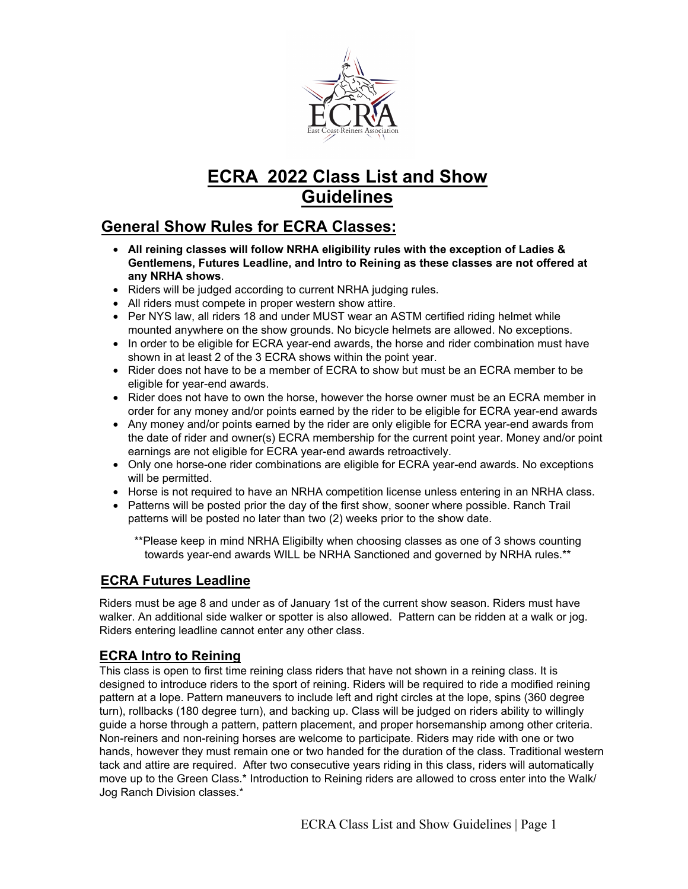

# **ECRA 2022 Class List and Show Guidelines**

## **General Show Rules for ECRA Classes:**

- **All reining classes will follow NRHA eligibility rules with the exception of Ladies & Gentlemens, Futures Leadline, and Intro to Reining as these classes are not offered at any NRHA shows**.
- Riders will be judged according to current NRHA judging rules.
- All riders must compete in proper western show attire.
- Per NYS law, all riders 18 and under MUST wear an ASTM certified riding helmet while mounted anywhere on the show grounds. No bicycle helmets are allowed. No exceptions.
- In order to be eligible for ECRA year-end awards, the horse and rider combination must have shown in at least 2 of the 3 ECRA shows within the point year.
- Rider does not have to be a member of ECRA to show but must be an ECRA member to be eligible for year-end awards.
- Rider does not have to own the horse, however the horse owner must be an ECRA member in order for any money and/or points earned by the rider to be eligible for ECRA year-end awards
- Any money and/or points earned by the rider are only eligible for ECRA year-end awards from the date of rider and owner(s) ECRA membership for the current point year. Money and/or point earnings are not eligible for ECRA year-end awards retroactively.
- Only one horse-one rider combinations are eligible for ECRA year-end awards. No exceptions will be permitted.
- Horse is not required to have an NRHA competition license unless entering in an NRHA class.
- Patterns will be posted prior the day of the first show, sooner where possible. Ranch Trail patterns will be posted no later than two (2) weeks prior to the show date.

\*\*Please keep in mind NRHA Eligibilty when choosing classes as one of 3 shows counting towards year-end awards WILL be NRHA Sanctioned and governed by NRHA rules.\*\*

## **ECRA Futures Leadline**

Riders must be age 8 and under as of January 1st of the current show season. Riders must have walker. An additional side walker or spotter is also allowed. Pattern can be ridden at a walk or jog. Riders entering leadline cannot enter any other class.

## **ECRA Intro to Reining**

This class is open to first time reining class riders that have not shown in a reining class. It is designed to introduce riders to the sport of reining. Riders will be required to ride a modified reining pattern at a lope. Pattern maneuvers to include left and right circles at the lope, spins (360 degree turn), rollbacks (180 degree turn), and backing up. Class will be judged on riders ability to willingly guide a horse through a pattern, pattern placement, and proper horsemanship among other criteria. Non-reiners and non-reining horses are welcome to participate. Riders may ride with one or two hands, however they must remain one or two handed for the duration of the class. Traditional western tack and attire are required. After two consecutive years riding in this class, riders will automatically move up to the Green Class.\* Introduction to Reining riders are allowed to cross enter into the Walk/ Jog Ranch Division classes.\*